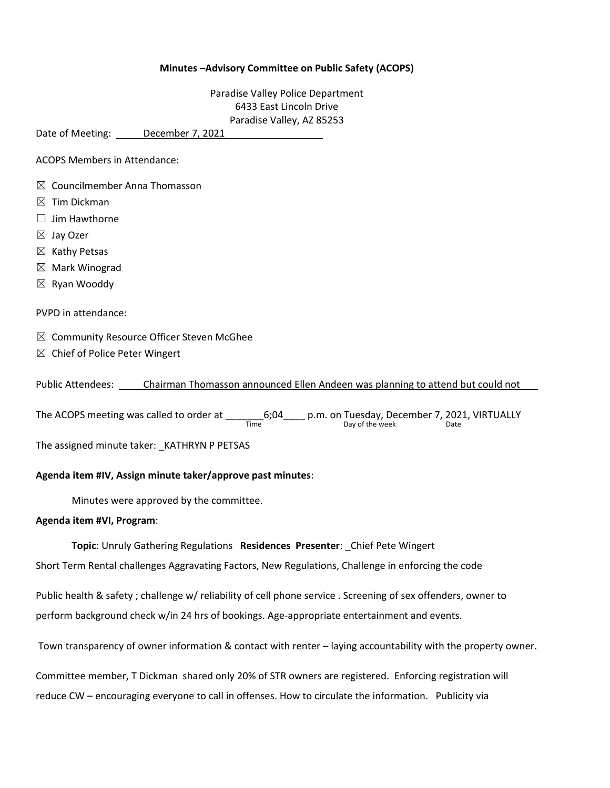## **Minutes –Advisory Committee on Public Safety (ACOPS)**

Paradise Valley Police Department 6433 East Lincoln Drive Paradise Valley, AZ 85253

Date of Meeting: December 7, 2021

ACOPS Members in Attendance:

- $\boxtimes$  Councilmember Anna Thomasson
- $\boxtimes$  Tim Dickman
- $\Box$  Jim Hawthorne
- ☒ Jay Ozer
- $\boxtimes$  Kathy Petsas
- $\boxtimes$  Mark Winograd
- ☒ Ryan Wooddy

PVPD in attendance:

- $\boxtimes$  Community Resource Officer Steven McGhee
- $\boxtimes$  Chief of Police Peter Wingert

Public Attendees: Chairman Thomasson announced Ellen Andeen was planning to attend but could not

The ACOPS meeting was called to order at \_\_\_\_\_\_\_\_\_\_6;04\_\_\_\_\_\_ p.m. on Tuesday, December 7, 2021, VIRTUALLY<br>Day of the week Date

The assigned minute taker: KATHRYN P PETSAS

## **Agenda item #IV, Assign minute taker/approve past minutes**:

Minutes were approved by the committee.

## **Agenda item #VI, Program**:

**Topic**: Unruly Gathering Regulations **Residences Presenter**: \_Chief Pete Wingert

Short Term Rental challenges Aggravating Factors, New Regulations, Challenge in enforcing the code

Public health & safety ; challenge w/ reliability of cell phone service . Screening of sex offenders, owner to perform background check w/in 24 hrs of bookings. Age-appropriate entertainment and events.

Town transparency of owner information & contact with renter – laying accountability with the property owner.

Committee member, T Dickman shared only 20% of STR owners are registered. Enforcing registration will reduce CW – encouraging everyone to call in offenses. How to circulate the information. Publicity via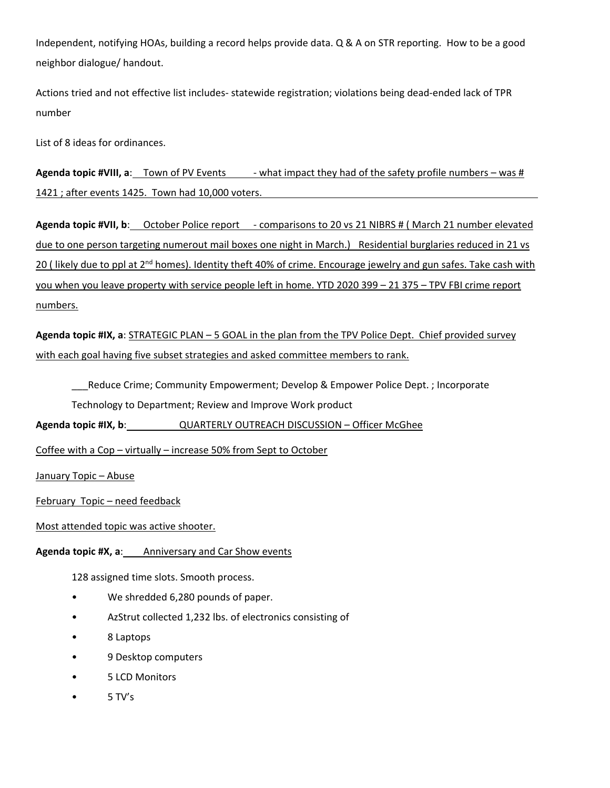Independent, notifying HOAs, building a record helps provide data. Q & A on STR reporting. How to be a good neighbor dialogue/ handout.

Actions tried and not effective list includes‐ statewide registration; violations being dead‐ended lack of TPR number

List of 8 ideas for ordinances.

**Agenda topic #VIII, a:** Town of PV Events - what impact they had of the safety profile numbers – was # 1421 ; after events 1425. Town had 10,000 voters.

**Agenda topic #VII, b**: October Police report ‐ comparisons to 20 vs 21 NIBRS # ( March 21 number elevated due to one person targeting numerout mail boxes one night in March.) Residential burglaries reduced in 21 vs 20 ( likely due to ppl at 2<sup>nd</sup> homes). Identity theft 40% of crime. Encourage jewelry and gun safes. Take cash with you when you leave property with service people left in home. YTD 2020 399 – 21 375 – TPV FBI crime report numbers.

**Agenda topic #IX, a**: STRATEGIC PLAN – 5 GOAL in the plan from the TPV Police Dept. Chief provided survey with each goal having five subset strategies and asked committee members to rank.

Reduce Crime; Community Empowerment; Develop & Empower Police Dept. ; Incorporate Technology to Department; Review and Improve Work product

**Agenda topic #IX, b**: QUARTERLY OUTREACH DISCUSSION – Officer McGhee

Coffee with a Cop – virtually – increase 50% from Sept to October

January Topic – Abuse

February Topic – need feedback

Most attended topic was active shooter.

**Agenda topic #X, a**: Anniversary and Car Show events

128 assigned time slots. Smooth process.

- We shredded 6,280 pounds of paper.
- AzStrut collected 1,232 lbs. of electronics consisting of
- 8 Laptops
- 9 Desktop computers
- 5 LCD Monitors
- 5 TV's